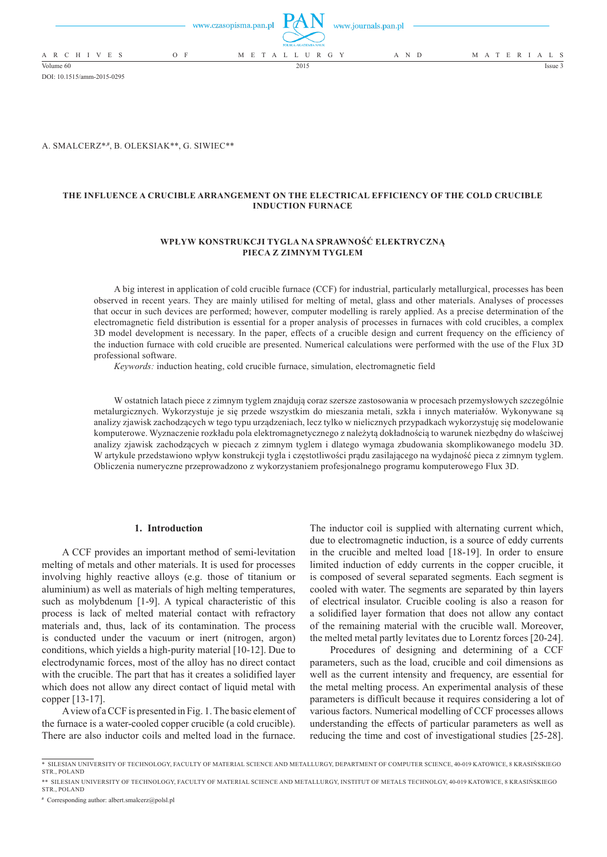|                 |       | www.czasopisma.pan.pl $\Box$ $($ $\Box$ $\Box$ $\Box$ | POLSKA AKADEMIA NAUK | www.journals.pan.pl |                   |
|-----------------|-------|-------------------------------------------------------|----------------------|---------------------|-------------------|
| A R C H I V E S | $O$ F |                                                       | M E T A L L U R G Y  | A N D               | M A T E R I A L S |
| Volume 60       |       |                                                       | 2015                 |                     | Issue :           |

DOI: 10.1515/amm-2015-0295

A. SMALCERZ\*,**#** , B. OLEKSIAK\*\*, G. SIWIEC\*\*

# **THE INFLUENCE A CRUCIBLE ARRANGEMENT ON THE ELECTRICAL EFFICIENCY OF THE COLD CRUCIBLE INDUCTION FURNACE**

### **WPŁYW KONSTRUKCJI TYGLA NA SPRAWNOŚĆ ELEKTRYCZNĄ PIECA Z ZIMNYM TYGLEM**

A big interest in application of cold crucible furnace (CCF) for industrial, particularly metallurgical, processes has been observed in recent years. They are mainly utilised for melting of metal, glass and other materials. Analyses of processes that occur in such devices are performed; however, computer modelling is rarely applied. As a precise determination of the electromagnetic field distribution is essential for a proper analysis of processes in furnaces with cold crucibles, a complex 3D model development is necessary. In the paper, effects of a crucible design and current frequency on the efficiency of the induction furnace with cold crucible are presented. Numerical calculations were performed with the use of the Flux 3D professional software.

*Keywords:* induction heating, cold crucible furnace, simulation, electromagnetic field

W ostatnich latach piece z zimnym tyglem znajdują coraz szersze zastosowania w procesach przemysłowych szczególnie metalurgicznych. Wykorzystuje je się przede wszystkim do mieszania metali, szkła i innych materiałów. Wykonywane są analizy zjawisk zachodzących w tego typu urządzeniach, lecz tylko w nielicznych przypadkach wykorzystuję się modelowanie komputerowe. Wyznaczenie rozkładu pola elektromagnetycznego z należytą dokładnością to warunek niezbędny do właściwej analizy zjawisk zachodzących w piecach z zimnym tyglem i dlatego wymaga zbudowania skomplikowanego modelu 3D. W artykule przedstawiono wpływ konstrukcji tygla i częstotliwości prądu zasilającego na wydajność pieca z zimnym tyglem. Obliczenia numeryczne przeprowadzono z wykorzystaniem profesjonalnego programu komputerowego Flux 3D.

#### **1. Introduction**

A CCF provides an important method of semi-levitation melting of metals and other materials. It is used for processes involving highly reactive alloys (e.g. those of titanium or aluminium) as well as materials of high melting temperatures, such as molybdenum [1-9]. A typical characteristic of this process is lack of melted material contact with refractory materials and, thus, lack of its contamination. The process is conducted under the vacuum or inert (nitrogen, argon) conditions, which yields a high-purity material [10-12]. Due to electrodynamic forces, most of the alloy has no direct contact with the crucible. The part that has it creates a solidified layer which does not allow any direct contact of liquid metal with copper [13-17].

A view of aCCF is presented in Fig. 1. The basic element of the furnace is a water-cooled copper crucible (a cold crucible). There are also inductor coils and melted load in the furnace.

The inductor coil is supplied with alternating current which, due to electromagnetic induction, is a source of eddy currents in the crucible and melted load [18-19]. In order to ensure limited induction of eddy currents in the copper crucible, it is composed of several separated segments. Each segment is cooled with water. The segments are separated by thin layers of electrical insulator. Crucible cooling is also a reason for a solidified layer formation that does not allow any contact of the remaining material with the crucible wall. Moreover, the melted metal partly levitates due to Lorentz forces [20-24].

Procedures of designing and determining of a CCF parameters, such as the load, crucible and coil dimensions as well as the current intensity and frequency, are essential for the metal melting process. An experimental analysis of these parameters is difficult because it requires considering a lot of various factors. Numerical modelling of CCF processes allows understanding the effects of particular parameters as well as reducing the time and cost of investigational studies [25-28].

<sup>\*</sup> SILESIAN UNIVERSITY OF TECHNOLOGY, FACULTY OF MATERIAL SCIENCE AND METALLURGY, DEPARTMENT OF COMPUTER SCIENCE, 40-019 KATOWICE, 8 KRASIŃSKIEGO STR POLAND

<sup>\*\*</sup> SILESIAN UNIVERSITY OF TECHNOLOGY, FACULTY OF MATERIAL SCIENCE AND METALLURGY, INSTITUT OF METALS TECHNOLGY, 40-019 KATOWICE, 8 KRASIŃSKIEGO STR., POLAND

**<sup>#</sup>** Corresponding author: albert.smalcerz@polsl.pl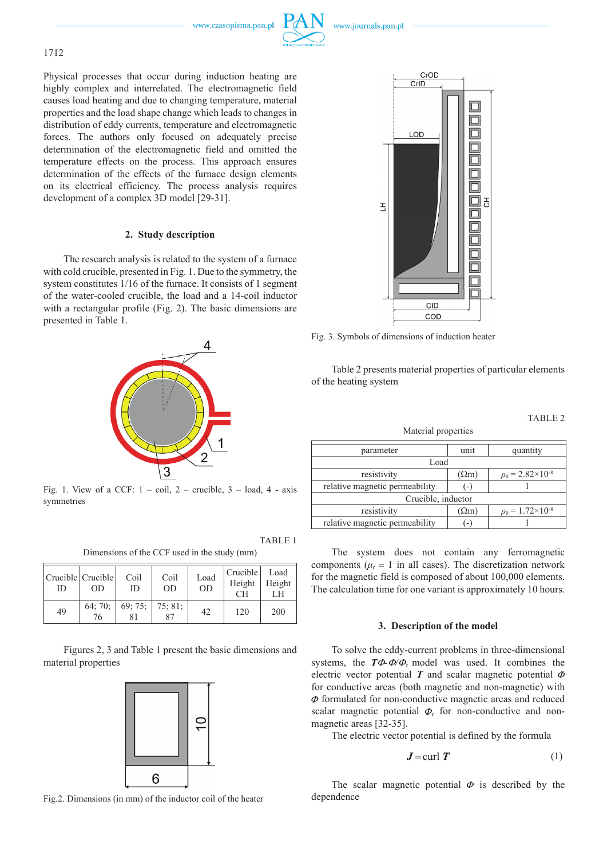www.czasopisma.pan.pl



## 1712

Physical processes that occur during induction heating are highly complex and interrelated. The electromagnetic field causes load heating and due to changing temperature, material properties and the load shape change which leads to changes in distribution of eddy currents, temperature and electromagnetic forces. The authors only focused on adequately precise determination of the electromagnetic field and omitted the temperature effects on the process. This approach ensures determination of the effects of the furnace design elements on its electrical efficiency. The process analysis requires development of a complex 3D model [29-31].

### **2. Study description**

The research analysis is related to the system of a furnace with cold crucible, presented in Fig. 1. Due to the symmetry, the system constitutes 1/16 of the furnace. It consists of 1 segment of the water-cooled crucible, the load and a 14-coil inductor with a rectangular profile (Fig. 2). The basic dimensions are presented in Table 1.



Fig. 1. View of a CCF:  $1 - coil$ ,  $2 - crucible$ ,  $3 - load$ ,  $4 - axis$ symmetries

Dimensions of the CCF used in the study (mm)

TABLE 1

| Crucible   Crucible  <br>ID | OD                           | Coil<br>ID      | Coil<br>OD | Load<br><b>OD</b> | Crucible<br>Height<br>CH <sub>1</sub> | Load<br>Height<br>LH |
|-----------------------------|------------------------------|-----------------|------------|-------------------|---------------------------------------|----------------------|
| 49                          | 64; 70; $\blacksquare$<br>76 | 69; 75; 75; 81; |            | 42                | 120                                   | 200                  |

Figures 2, 3 and Table 1 present the basic dimensions and material properties



Fig.2. Dimensions (in mm) of the inductor coil of the heater



Fig. 3. Symbols of dimensions of induction heater

Table 2 presents material properties of particular elements of the heating system

## TABLE 2

Material properties

| parameter                      | unit         | quantity                         |  |  |  |
|--------------------------------|--------------|----------------------------------|--|--|--|
| Load                           |              |                                  |  |  |  |
| resistivity                    | $(\Omega m)$ | $\rho_0$ = 2.82×10 <sup>-8</sup> |  |  |  |
| relative magnetic permeability |              |                                  |  |  |  |
| Crucible, inductor             |              |                                  |  |  |  |
| resistivity                    | $(\Omega m)$ | $\rho_0 = 1.72 \times 10^{-8}$   |  |  |  |
| relative magnetic permeability |              |                                  |  |  |  |

The system does not contain any ferromagnetic components ( $\mu$ <sub>r</sub> = 1 in all cases). The discretization network for the magnetic field is composed of about 100,000 elements. The calculation time for one variant is approximately 10 hours.

### **3. Description of the model**

To solve the eddy-current problems in three-dimensional systems, the  $T\Phi \Phi/\Phi_r$  model was used. It combines the electric vector potential  $T$  and scalar magnetic potential  $\Phi$ for conductive areas (both magnetic and non-magnetic) with  $\Phi$  formulated for non-conductive magnetic areas and reduced scalar magnetic potential  $\Phi_r$  for non-conductive and nonmagnetic areas [32-35].

The electric vector potential is defined by the formula

$$
J = \text{curl } T \tag{1}
$$

The scalar magnetic potential  $\Phi$  is described by the dependence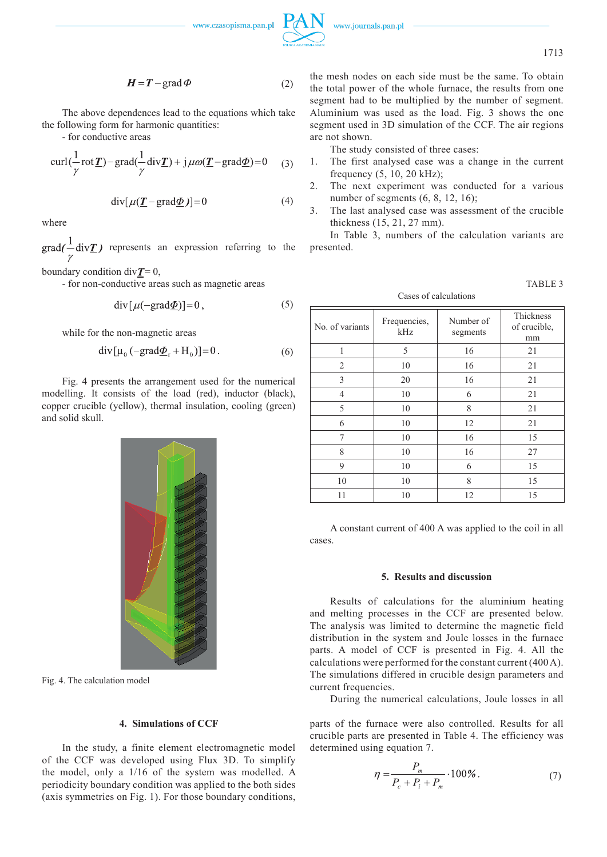



1713

$$
H = T - \text{grad}\,\Phi\tag{2}
$$

The above dependences lead to the equations which take the following form for harmonic quantities:

- for conductive areas

$$
\operatorname{curl}(\frac{1}{\gamma}\operatorname{rot}\underline{T}) - \operatorname{grad}(\frac{1}{\gamma}\operatorname{div}\underline{T}) + j\mu\omega(\underline{T} - \operatorname{grad}\underline{\Phi}) = 0 \quad (3)
$$

$$
\operatorname{div}[\mu(\underline{T} - \operatorname{grad} \underline{\Phi})] = 0 \tag{4}
$$

where

 $\text{grad}(\frac{1}{x}\text{div}\underline{T})$  represents an expression referring to the

boundary condition div $T = 0$ ,

- for non-conductive areas such as magnetic areas

$$
\operatorname{div}[\mu(-\operatorname{grad}\underline{\Phi})] = 0\,,\tag{5}
$$

while for the non-magnetic areas

$$
\operatorname{div}[\mu_0 \left( -\text{grad} \underline{\Phi}_r + H_0 \right)] = 0. \tag{6}
$$

Fig. 4 presents the arrangement used for the numerical modelling. It consists of the load (red), inductor (black), copper crucible (yellow), thermal insulation, cooling (green) and solid skull.

Fig. 4. The calculation model

#### **4. Simulations of CCF**

In the study, a finite element electromagnetic model of the CCF was developed using Flux 3D. To simplify the model, only a 1/16 of the system was modelled. A periodicity boundary condition was applied to the both sides (axis symmetries on Fig. 1). For those boundary conditions,

the mesh nodes on each side must be the same. To obtain the total power of the whole furnace, the results from one segment had to be multiplied by the number of segment. Aluminium was used as the load. Fig. 3 shows the one segment used in 3D simulation of the CCF. The air regions are not shown.

The study consisted of three cases:

- 1. The first analysed case was a change in the current frequency (5, 10, 20 kHz);
- 2. The next experiment was conducted for a various number of segments (6, 8, 12, 16);
- 3. The last analysed case was assessment of the crucible thickness (15, 21, 27 mm).

In Table 3, numbers of the calculation variants are presented.

| ш<br>. .<br>I |
|---------------|
|---------------|

Cases of calculations

| No. of variants | Frequencies,<br>kHz | Number of<br>segments | Thickness<br>of crucible,<br>mm |
|-----------------|---------------------|-----------------------|---------------------------------|
| 1               | 5                   | 16                    | 21                              |
| $\overline{2}$  | 10                  | 16                    | 21                              |
| 3               | 20                  | 16                    | 21                              |
| 4               | 10                  | 6                     | 21                              |
| 5               | 10                  | 8                     | 21                              |
| 6               | 10                  | 12                    | 21                              |
| 7               | 10                  | 16                    | 15                              |
| 8               | 10                  | 16                    | 27                              |
| 9               | 10                  | 6                     | 15                              |
| 10              | 10                  | 8                     | 15                              |
| 11              | 10                  | 12                    | 15                              |

A constant current of 400 A was applied to the coil in all cases.

#### **5. Results and discussion**

Results of calculations for the aluminium heating and melting processes in the CCF are presented below. The analysis was limited to determine the magnetic field distribution in the system and Joule losses in the furnace parts. A model of CCF is presented in Fig. 4. All the calculations were performed for the constant current (400A). The simulations differed in crucible design parameters and current frequencies.

During the numerical calculations, Joule losses in all

parts of the furnace were also controlled. Results for all crucible parts are presented in Table 4. The efficiency was determined using equation 7.

$$
\eta = \frac{P_m}{P_c + P_i + P_m} \cdot 100\% \,. \tag{7}
$$

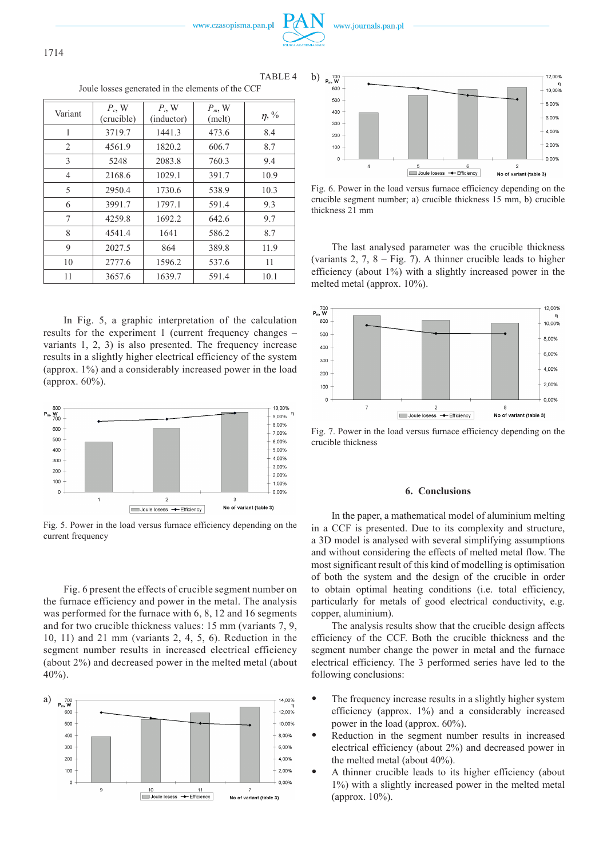www.czasopisma.pan.pl

|                                                   | TABLE <sub>4</sub> |
|---------------------------------------------------|--------------------|
| Joule losses generated in the elements of the CCF |                    |

| Variant | $P_c$ , W<br>(crucible) | $P_i$ , W<br>(inductor) | $P_m$ , W<br>(melt) | $\eta$ , % |
|---------|-------------------------|-------------------------|---------------------|------------|
| 1       | 3719.7                  | 1441.3                  | 473.6               | 8.4        |
| 2       | 4561.9                  | 1820.2                  | 606.7               | 8.7        |
| 3       | 5248                    | 2083.8                  | 760.3               | 9.4        |
| 4       | 2168.6                  | 1029.1                  | 391.7               | 10.9       |
| 5       | 2950.4                  | 1730.6                  | 538.9               | 10.3       |
| 6       | 3991.7                  | 1797.1                  | 591.4               | 9.3        |
| 7       | 4259.8                  | 1692.2                  | 642.6               | 9.7        |
| 8       | 4541.4                  | 1641                    | 586.2               | 8.7        |
| 9       | 2027.5                  | 864                     | 389.8               | 11.9       |
| 10      | 2777.6                  | 1596.2                  | 537.6               | 11         |
| 11      | 3657.6                  | 1639.7                  | 591.4               | 10.1       |

In Fig. 5, a graphic interpretation of the calculation results for the experiment 1 (current frequency changes – variants 1, 2, 3) is also presented. The frequency increase results in a slightly higher electrical efficiency of the system (approx. 1%) and a considerably increased power in the load (approx. 60%).



Fig. 5. Power in the load versus furnace efficiency depending on the current frequency

Fig. 6 present the effects of crucible segment number on the furnace efficiency and power in the metal. The analysis was performed for the furnace with 6, 8, 12 and 16 segments and for two crucible thickness values: 15 mm (variants 7, 9, 10, 11) and 21 mm (variants 2, 4, 5, 6). Reduction in the segment number results in increased electrical efficiency (about 2%) and decreased power in the melted metal (about 40%).





www.journals.pan.pl

Fig. 6. Power in the load versus furnace efficiency depending on the crucible segment number; a) crucible thickness 15 mm, b) crucible thickness 21 mm

The last analysed parameter was the crucible thickness (variants  $2, 7, 8 - Fig. 7$ ). A thinner crucible leads to higher efficiency (about 1%) with a slightly increased power in the melted metal (approx. 10%).



Fig. 7. Power in the load versus furnace efficiency depending on the crucible thickness

#### **6. Conclusions**

In the paper, a mathematical model of aluminium melting in a CCF is presented. Due to its complexity and structure, a 3D model is analysed with several simplifying assumptions and without considering the effects of melted metal flow. The most significant result of this kind of modelling is optimisation of both the system and the design of the crucible in order to obtain optimal heating conditions (i.e. total efficiency, particularly for metals of good electrical conductivity, e.g. copper, aluminium).

The analysis results show that the crucible design affects efficiency of the CCF. Both the crucible thickness and the segment number change the power in metal and the furnace electrical efficiency. The 3 performed series have led to the following conclusions:

- The frequency increase results in a slightly higher system efficiency (approx. 1%) and a considerably increased power in the load (approx. 60%).
- Reduction in the segment number results in increased electrical efficiency (about 2%) and decreased power in the melted metal (about 40%).
- A thinner crucible leads to its higher efficiency (about 1%) with a slightly increased power in the melted metal (approx. 10%).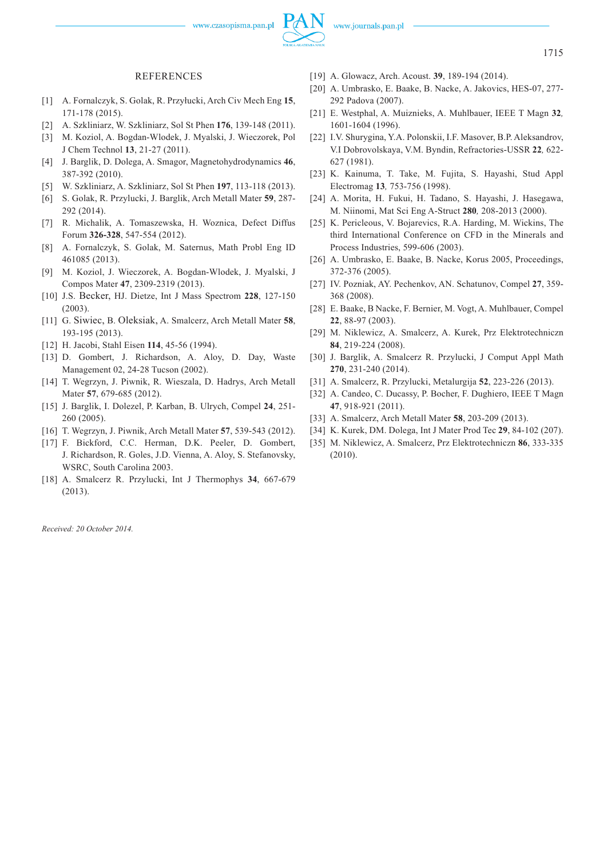www.czasopisma.pan.pl

#### REFERENCES

- [1] A. Fornalczyk, S. Golak, R. Przyłucki, Arch Civ Mech Eng **15**, 171-178 (2015).
- [2] A. Szkliniarz, W. Szkliniarz, Sol St Phen **176**, 139-148 (2011).
- [3] M. Koziol, A. Bogdan-Wlodek, J. Myalski, J. Wieczorek, Pol J Chem Technol **13**, 21-27 (2011).
- [4] J. Barglik, D. Dolega, A. Smagor, Magnetohydrodynamics **46**, 387-392 (2010).
- [5] W. Szkliniarz, A. Szkliniarz, Sol St Phen **197**, 113-118 (2013).
- [6] S. Golak, R. Przylucki, J. Barglik, Arch Metall Mater **59**, 287- 292 (2014).
- [7] R. Michalik, A. Tomaszewska, H. Woznica, Defect Diffus Forum **326-328**, 547-554 (2012).
- [8] A. Fornalczyk, S. Golak, M. Saternus, Math Probl Eng ID 461085 (2013).
- [9] M. Koziol, J. Wieczorek, A. Bogdan-Wlodek, J. Myalski, J Compos Mater **47**, 2309-2319 (2013).
- [10] J.S. Becker, HJ. Dietze, Int J Mass Spectrom **228**, 127-150 (2003).
- [11] G. Siwiec, B. Oleksiak, A. Smalcerz, Arch Metall Mater **58**, 193-195 (2013).
- [12] H. Jacobi, Stahl Eisen **114**, 45-56 (1994).
- [13] D. Gombert, J. Richardson, A. Aloy, D. Day, Waste Management 02, 24-28 Tucson (2002).
- [14] T. Wegrzyn, J. Piwnik, R. Wieszala, D. Hadrys, Arch Metall Mater **57**, 679-685 (2012).
- [15] J. Barglik, I. Dolezel, P. Karban, B. Ulrych, Compel **24**, 251- 260 (2005).
- [16] T. Wegrzyn, J. Piwnik, Arch Metall Mater **57**, 539-543 (2012).
- [17] F. Bickford, C.C. Herman, D.K. Peeler, D. Gombert, J. Richardson, R. Goles, J.D. Vienna, A. Aloy, S. Stefanovsky, WSRC, South Carolina 2003.
- [18] A. Smalcerz R. Przylucki, Int J Thermophys **34**, 667-679  $(2013)$

*Received: 20 October 2014.*

- [19] A. Glowacz, Arch. Acoust. **39**, 189-194 (2014).
- [20] A. Umbrasko, E. Baake, B. Nacke, A. Jakovics, HES-07, 277- 292 Padova (2007).
- [21] E. Westphal, A. Muiznieks, A. Muhlbauer, IEEE T Magn **32***,*  1601-1604 (1996).
- [22] I.V. Shurygina, Y.A. Polonskii, I.F. Masover, B.P. Aleksandrov, V.I Dobrovolskaya, V.M. Byndin, Refractories-USSR **22***,* 622- 627 (1981).
- [23] K. Kainuma, T. Take, M. Fujita, S. Hayashi, Stud Appl Electromag **13***,* 753-756 (1998).
- [24] A. Morita, H. Fukui, H. Tadano, S. Hayashi, J. Hasegawa, M. Niinomi, Mat Sci Eng A-Struct **280***,* 208-2013 (2000).
- [25] K. Pericleous, V. Bojarevics, R.A. Harding, M. Wickins, The third International Conference on CFD in the Minerals and Process Industries, 599-606 (2003).
- [26] A. Umbrasko, E. Baake, B. Nacke, Korus 2005, Proceedings, 372-376 (2005).
- [27] IV. Pozniak, AY. Pechenkov, AN. Schatunov, Compel **27**, 359- 368 (2008).
- [28] E. Baake, B Nacke, F. Bernier, M. Vogt, A. Muhlbauer, Compel **22**, 88-97 (2003).
- [29] M. Niklewicz, A. Smalcerz, A. Kurek, Prz Elektrotechniczn **84**, 219-224 (2008).
- [30] J. Barglik, A. Smalcerz R. Przylucki, J Comput Appl Math **270**, 231-240 (2014).
- [31] A. Smalcerz, R. Przylucki, Metalurgija **52**, 223-226 (2013).
- [32] A. Candeo, C. Ducassy, P. Bocher, F. Dughiero, IEEE T Magn **47**, 918-921 (2011).
- [33] A. Smalcerz, Arch Metall Mater **58**, 203-209 (2013).
- [34] K. Kurek, DM. Dolega, Int J Mater Prod Tec **29**, 84-102 (207).
- [35] M. Niklewicz, A. Smalcerz, Prz Elektrotechniczn **86**, 333-335 (2010).